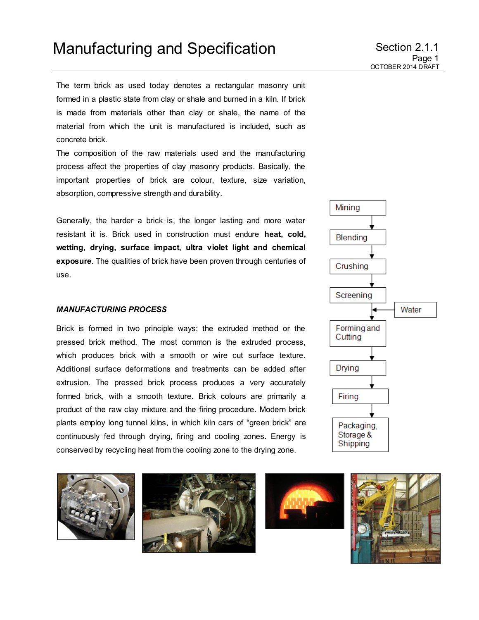The term brick as used today denotes a rectangular masonry unit formed in a plastic state from clay or shale and burned in a kiln. If brick is made from materials other than clay or shale, the name of the material from which the unit is manufactured is included, such as concrete brick.

The composition of the raw materials used and the manufacturing process affect the properties of clay masonry products. Basically, the important properties of brick are colour, texture, size variation, absorption, compressive strength and durability.

Generally, the harder a brick is, the longer lasting and more water resistant it is. Brick used in construction must endure **heat, cold, wetting, drying, surface impact, ultra violet light and chemical exposure**. The qualities of brick have been proven through centuries of use.

## *MANUFACTURING PROCESS*

Brick is formed in two principle ways: the extruded method or the pressed brick method. The most common is the extruded process, which produces brick with a smooth or wire cut surface texture. Additional surface deformations and treatments can be added after extrusion. The pressed brick process produces a very accurately formed brick, with a smooth texture. Brick colours are primarily a product of the raw clay mixture and the firing procedure. Modern brick plants employ long tunnel kilns, in which kiln cars of "green brick" are continuously fed through drying, firing and cooling zones. Energy is conserved by recycling heat from the cooling zone to the drying zone.









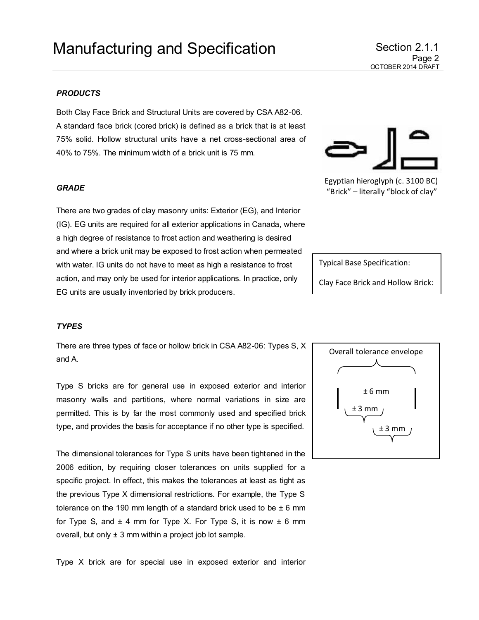## *PRODUCTS*

Both Clay Face Brick and Structural Units are covered by CSA A82-06. A standard face brick (cored brick) is defined as a brick that is at least 75% solid. Hollow structural units have a net cross-sectional area of 40% to 75%. The minimum width of a brick unit is 75 mm.

#### *GRADE*

There are two grades of clay masonry units: Exterior (EG), and Interior (IG). EG units are required for all exterior applications in Canada, where a high degree of resistance to frost action and weathering is desired and where a brick unit may be exposed to frost action when permeated with water. IG units do not have to meet as high a resistance to frost action, and may only be used for interior applications. In practice, only EG units are usually inventoried by brick producers.

### *TYPES*

There are three types of face or hollow brick in CSA A82-06: Types S, X and A.

Type S bricks are for general use in exposed exterior and interior masonry walls and partitions, where normal variations in size are permitted. This is by far the most commonly used and specified brick type, and provides the basis for acceptance if no other type is specified.

The dimensional tolerances for Type S units have been tightened in the 2006 edition, by requiring closer tolerances on units supplied for a specific project. In effect, this makes the tolerances at least as tight as the previous Type X dimensional restrictions. For example, the Type S tolerance on the 190 mm length of a standard brick used to be  $\pm$  6 mm for Type S, and  $\pm$  4 mm for Type X. For Type S, it is now  $\pm$  6 mm overall, but only  $\pm 3$  mm within a project job lot sample.

Type X brick are for special use in exposed exterior and interior



Clay Face Brick and Hollow Brick:





"Brick" – literally "block of clay"